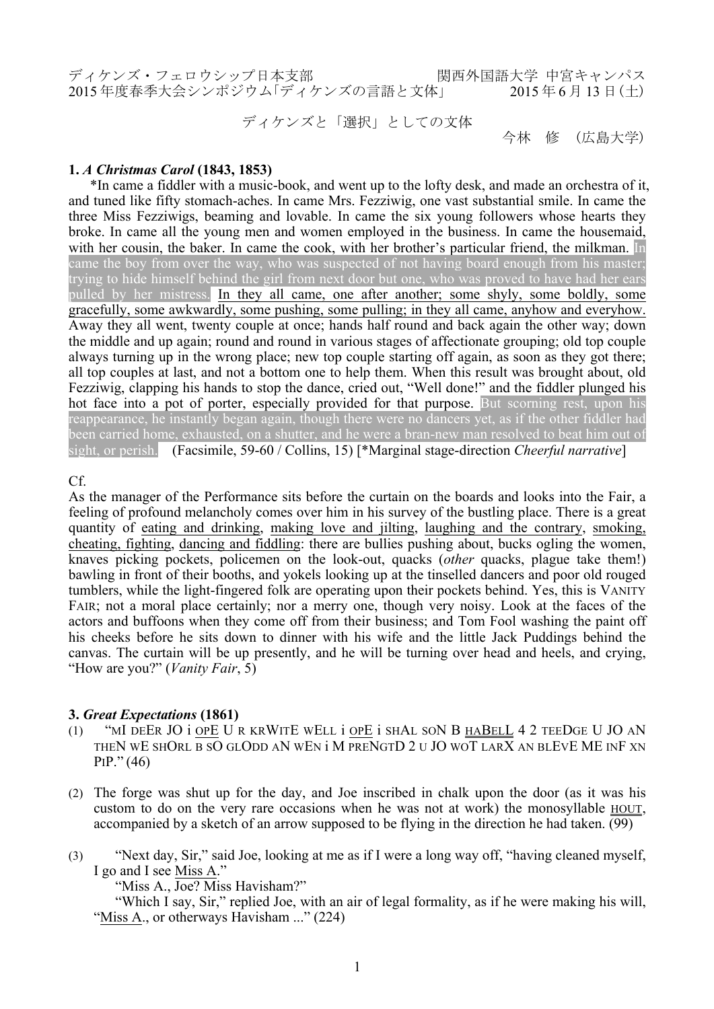ディケンズ・フェロウシップ日本支部 関西外国語大学 中宮キャンパス → 2015年度春季大会シンポジウム「ディケンズの言語と文体」 2015年6月13日(十)

ディケンズと「選択」としての文体

今林 修 (広島大学)

# **1.** *A Christmas Carol* **(1843, 1853)**

\*In came a fiddler with a music-book, and went up to the lofty desk, and made an orchestra of it, and tuned like fifty stomach-aches. In came Mrs. Fezziwig, one vast substantial smile. In came the three Miss Fezziwigs, beaming and lovable. In came the six young followers whose hearts they broke. In came all the young men and women employed in the business. In came the housemaid, with her cousin, the baker. In came the cook, with her brother's particular friend, the milkman. In came the boy from over the way, who was suspected of not having board enough from his master; trying to hide himself behind the girl from next door but one, who was proved to have had her ears pulled by her mistress. In they all came, one after another; some shyly, some boldly, some gracefully, some awkwardly, some pushing, some pulling; in they all came, anyhow and everyhow. Away they all went, twenty couple at once; hands half round and back again the other way; down the middle and up again; round and round in various stages of affectionate grouping; old top couple always turning up in the wrong place; new top couple starting off again, as soon as they got there; all top couples at last, and not a bottom one to help them. When this result was brought about, old Fezziwig, clapping his hands to stop the dance, cried out, "Well done!" and the fiddler plunged his hot face into a pot of porter, especially provided for that purpose. But scorning rest, upon his reappearance, he instantly began again, though there were no dancers yet, as if the other fiddler had been carried home, exhausted, on a shutter, and he were a bran-new man resolved to beat him out of sight, or perish. (Facsimile, 59-60 / Collins, 15) [\*Marginal stage-direction *Cheerful narrative*]

## Cf.

As the manager of the Performance sits before the curtain on the boards and looks into the Fair, a feeling of profound melancholy comes over him in his survey of the bustling place. There is a great quantity of eating and drinking, making love and jilting, laughing and the contrary, smoking, cheating, fighting, dancing and fiddling: there are bullies pushing about, bucks ogling the women, knaves picking pockets, policemen on the look-out, quacks (*other* quacks, plague take them!) bawling in front of their booths, and yokels looking up at the tinselled dancers and poor old rouged tumblers, while the light-fingered folk are operating upon their pockets behind. Yes, this is VANITY FAIR; not a moral place certainly; nor a merry one, though very noisy. Look at the faces of the actors and buffoons when they come off from their business; and Tom Fool washing the paint off his cheeks before he sits down to dinner with his wife and the little Jack Puddings behind the canvas. The curtain will be up presently, and he will be turning over head and heels, and crying, "How are you?" (*Vanity Fair*, 5)

# **3.** *Great Expectations* **(1861)**

- (1) "MI DEER JO i OPE U R KRWITE WELL i OPE i SHAL SON B HABELL 4 2 TEEDGE U JO AN THEN WE SHORL B SO GLODD AN WEN i M PRENGTD 2 U JO WOT LARX AN BLEVE ME INF XN PIP." (46)
- (2) The forge was shut up for the day, and Joe inscribed in chalk upon the door (as it was his custom to do on the very rare occasions when he was not at work) the monosyllable HOUT, accompanied by a sketch of an arrow supposed to be flying in the direction he had taken. (99)
- (3) "Next day, Sir," said Joe, looking at me as if I were a long way off, "having cleaned myself, I go and I see Miss A."

"Miss A., Joe? Miss Havisham?"

"Which I say, Sir," replied Joe, with an air of legal formality, as if he were making his will, "Miss A., or otherways Havisham ..." (224)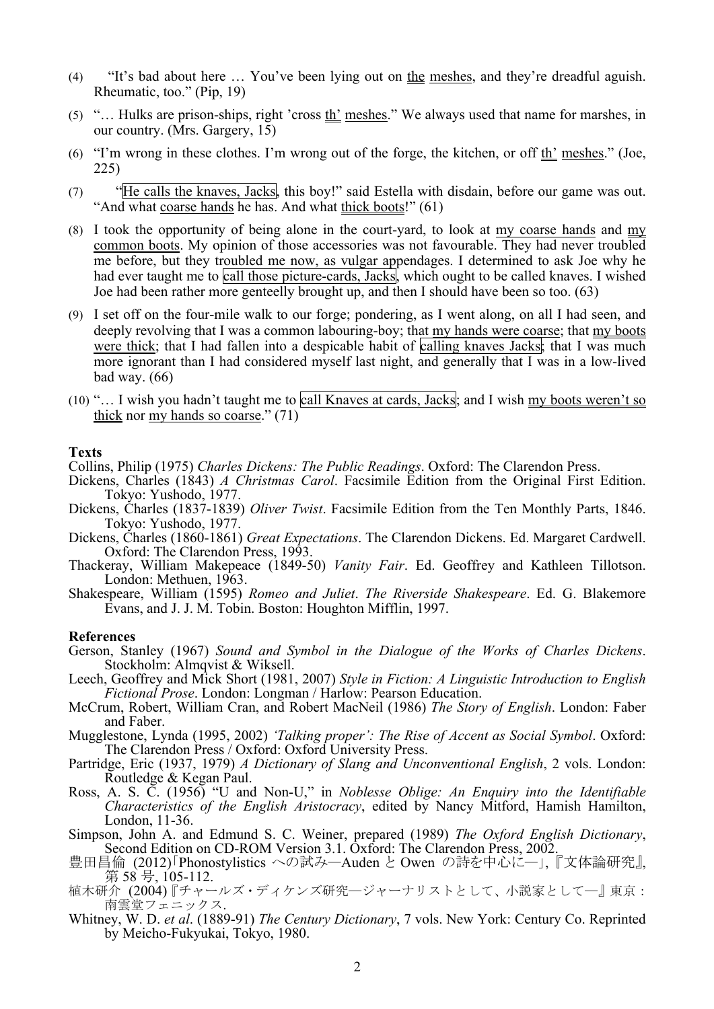- (4) "It's bad about here … You've been lying out on the meshes, and they're dreadful aguish. Rheumatic, too." (Pip, 19)
- (5) "… Hulks are prison-ships, right 'cross th' meshes." We always used that name for marshes, in our country. (Mrs. Gargery, 15)
- (6) "I'm wrong in these clothes. I'm wrong out of the forge, the kitchen, or off th' meshes." (Joe, 225)
- (7) "He calls the knaves, Jacks, this boy!" said Estella with disdain, before our game was out. "And what coarse hands he has. And what thick boots!" (61)
- (8) I took the opportunity of being alone in the court-yard, to look at  $\frac{my}{my}$  coarse hands and  $\frac{my}{my}$ common boots. My opinion of those accessories was not favourable. They had never troubled me before, but they troubled me now, as vulgar appendages. I determined to ask Joe why he had ever taught me to call those picture-cards, Jacks, which ought to be called knaves. I wished Joe had been rather more genteelly brought up, and then I should have been so too. (63)
- (9) I set off on the four-mile walk to our forge; pondering, as I went along, on all I had seen, and deeply revolving that I was a common labouring-boy; that my hands were coarse; that my boots were thick; that I had fallen into a despicable habit of calling knaves Jacks; that I was much more ignorant than I had considered myself last night, and generally that I was in a low-lived bad way. (66)
- (10) "… I wish you hadn't taught me to call Knaves at cards, Jacks; and I wish my boots weren't so thick nor my hands so coarse." (71)

### **Texts**

Collins, Philip (1975) *Charles Dickens: The Public Readings*. Oxford: The Clarendon Press.

- Dickens, Charles (1843) *A Christmas Carol*. Facsimile Edition from the Original First Edition. Tokyo: Yushodo, 1977.
- Dickens, Charles (1837-1839) *Oliver Twist*. Facsimile Edition from the Ten Monthly Parts, 1846. Tokyo: Yushodo, 1977.
- Dickens, Charles (1860-1861) *Great Expectations*. The Clarendon Dickens. Ed. Margaret Cardwell. Oxford: The Clarendon Press, 1993.
- Thackeray, William Makepeace (1849-50) *Vanity Fair*. Ed. Geoffrey and Kathleen Tillotson. London: Methuen, 1963.
- Shakespeare, William (1595) *Romeo and Juliet*. *The Riverside Shakespeare*. Ed. G. Blakemore Evans, and J. J. M. Tobin. Boston: Houghton Mifflin, 1997.

#### **References**

- Gerson, Stanley (1967) *Sound and Symbol in the Dialogue of the Works of Charles Dickens*. Stockholm: Almqvist & Wiksell.
- Leech, Geoffrey and Mick Short (1981, 2007) *Style in Fiction: A Linguistic Introduction to English Fictional Prose*. London: Longman / Harlow: Pearson Education. McCrum, Robert, William Cran, and Robert MacNeil (1986) *The Story of English*. London: Faber
- and Faber.
- Mugglestone, Lynda (1995, 2002) *'Talking proper': The Rise of Accent as Social Symbol*. Oxford: The Clarendon Press / Oxford: Oxford University Press.
- Partridge, Eric (1937, 1979) *A Dictionary of Slang and Unconventional English*, 2 vols. London: Routledge & Kegan Paul.
- Ross, A. S. C. (1956) "U and Non-U," in *Noblesse Oblige: An Enquiry into the Identifiable Characteristics of the English Aristocracy*, edited by Nancy Mitford, Hamish Hamilton, London, 11-36.
- Simpson, John A. and Edmund S. C. Weiner, prepared (1989) *The Oxford English Dictionary*, Second Edition on CD-ROM Version 3.1. Oxford: The Clarendon Press, 2002.
- 豊田昌倫 (2012)「Phonostylistics への試み―Auden と Owen の詩を中心に―」,『文体論研究』,<br>第 58 号, 105-112.
- 植木研介 (2004)『チャールズ・ディケンズ研究―ジャーナリストとして、小説家として―』東京: 南雲堂フェニックス.
- Whitney, W. D. *et al*. (1889-91) *The Century Dictionary*, 7 vols. New York: Century Co. Reprinted by Meicho-Fukyukai, Tokyo, 1980.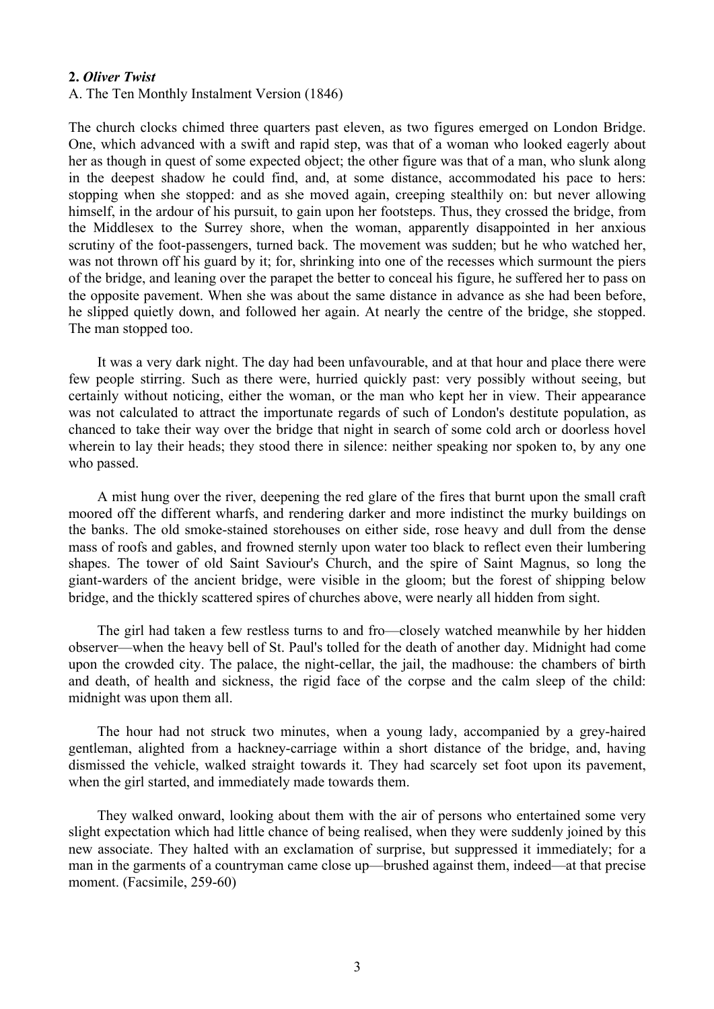## **2.** *Oliver Twist*

### A. The Ten Monthly Instalment Version (1846)

The church clocks chimed three quarters past eleven, as two figures emerged on London Bridge. One, which advanced with a swift and rapid step, was that of a woman who looked eagerly about her as though in quest of some expected object; the other figure was that of a man, who slunk along in the deepest shadow he could find, and, at some distance, accommodated his pace to hers: stopping when she stopped: and as she moved again, creeping stealthily on: but never allowing himself, in the ardour of his pursuit, to gain upon her footsteps. Thus, they crossed the bridge, from the Middlesex to the Surrey shore, when the woman, apparently disappointed in her anxious scrutiny of the foot-passengers, turned back. The movement was sudden; but he who watched her, was not thrown off his guard by it; for, shrinking into one of the recesses which surmount the piers of the bridge, and leaning over the parapet the better to conceal his figure, he suffered her to pass on the opposite pavement. When she was about the same distance in advance as she had been before, he slipped quietly down, and followed her again. At nearly the centre of the bridge, she stopped. The man stopped too.

It was a very dark night. The day had been unfavourable, and at that hour and place there were few people stirring. Such as there were, hurried quickly past: very possibly without seeing, but certainly without noticing, either the woman, or the man who kept her in view. Their appearance was not calculated to attract the importunate regards of such of London's destitute population, as chanced to take their way over the bridge that night in search of some cold arch or doorless hovel wherein to lay their heads; they stood there in silence: neither speaking nor spoken to, by any one who passed.

A mist hung over the river, deepening the red glare of the fires that burnt upon the small craft moored off the different wharfs, and rendering darker and more indistinct the murky buildings on the banks. The old smoke-stained storehouses on either side, rose heavy and dull from the dense mass of roofs and gables, and frowned sternly upon water too black to reflect even their lumbering shapes. The tower of old Saint Saviour's Church, and the spire of Saint Magnus, so long the giant-warders of the ancient bridge, were visible in the gloom; but the forest of shipping below bridge, and the thickly scattered spires of churches above, were nearly all hidden from sight.

The girl had taken a few restless turns to and fro—closely watched meanwhile by her hidden observer—when the heavy bell of St. Paul's tolled for the death of another day. Midnight had come upon the crowded city. The palace, the night-cellar, the jail, the madhouse: the chambers of birth and death, of health and sickness, the rigid face of the corpse and the calm sleep of the child: midnight was upon them all.

The hour had not struck two minutes, when a young lady, accompanied by a grey-haired gentleman, alighted from a hackney-carriage within a short distance of the bridge, and, having dismissed the vehicle, walked straight towards it. They had scarcely set foot upon its pavement, when the girl started, and immediately made towards them.

They walked onward, looking about them with the air of persons who entertained some very slight expectation which had little chance of being realised, when they were suddenly joined by this new associate. They halted with an exclamation of surprise, but suppressed it immediately; for a man in the garments of a countryman came close up—brushed against them, indeed—at that precise moment. (Facsimile, 259-60)